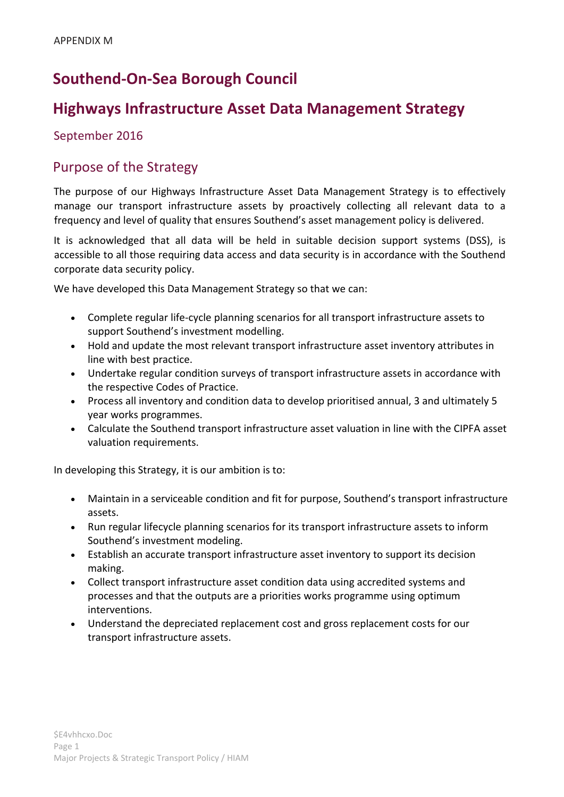# **Southend-On-Sea Borough Council**

## **Highways Infrastructure Asset Data Management Strategy**

#### September 2016

#### Purpose of the Strategy

The purpose of our Highways Infrastructure Asset Data Management Strategy is to effectively manage our transport infrastructure assets by proactively collecting all relevant data to a frequency and level of quality that ensures Southend's asset management policy is delivered.

It is acknowledged that all data will be held in suitable decision support systems (DSS), is accessible to all those requiring data access and data security is in accordance with the Southend corporate data security policy.

We have developed this Data Management Strategy so that we can:

- Complete regular life-cycle planning scenarios for all transport infrastructure assets to support Southend's investment modelling.
- Hold and update the most relevant transport infrastructure asset inventory attributes in line with best practice.
- Undertake regular condition surveys of transport infrastructure assets in accordance with the respective Codes of Practice.
- Process all inventory and condition data to develop prioritised annual, 3 and ultimately 5 year works programmes.
- Calculate the Southend transport infrastructure asset valuation in line with the CIPFA asset valuation requirements.

In developing this Strategy, it is our ambition is to:

- Maintain in a serviceable condition and fit for purpose, Southend's transport infrastructure assets.
- Run regular lifecycle planning scenarios for its transport infrastructure assets to inform Southend's investment modeling.
- Establish an accurate transport infrastructure asset inventory to support its decision making.
- Collect transport infrastructure asset condition data using accredited systems and processes and that the outputs are a priorities works programme using optimum interventions.
- Understand the depreciated replacement cost and gross replacement costs for our transport infrastructure assets.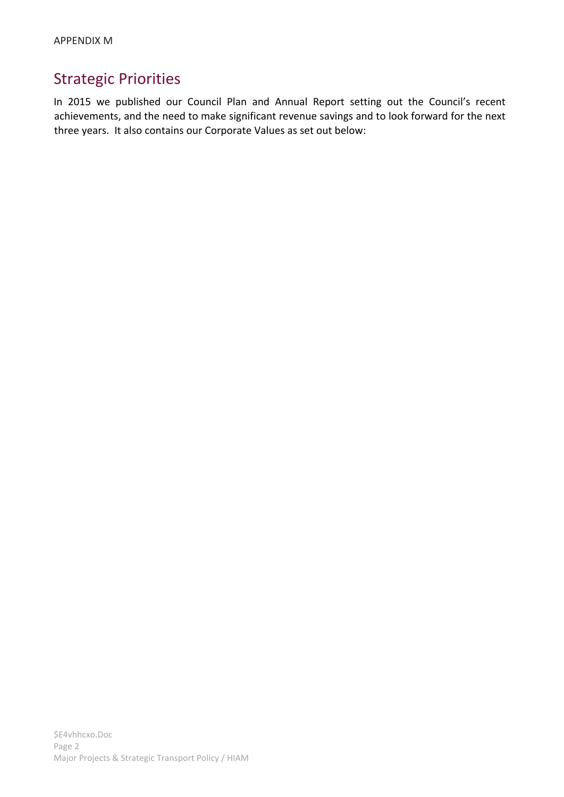# Strategic Priorities

In 2015 we published our Council Plan and Annual Report setting out the Council's recent achievements, and the need to make significant revenue savings and to look forward for the next three years. It also contains our Corporate Values as set out below: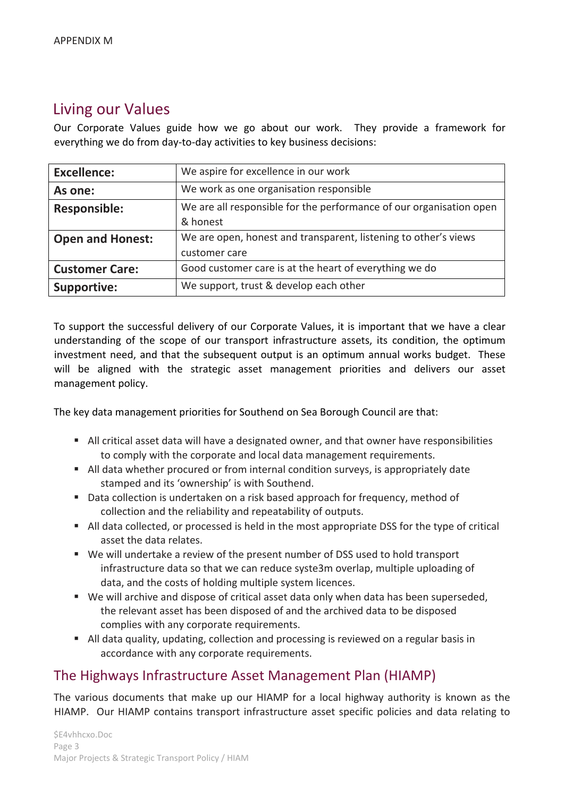# Living our Values

Our Corporate Values guide how we go about our work. They provide a framework for everything we do from day-to-day activities to key business decisions:

| <b>Excellence:</b>      | We aspire for excellence in our work                                |
|-------------------------|---------------------------------------------------------------------|
| As one:                 | We work as one organisation responsible                             |
| <b>Responsible:</b>     | We are all responsible for the performance of our organisation open |
|                         | & honest                                                            |
| <b>Open and Honest:</b> | We are open, honest and transparent, listening to other's views     |
|                         | customer care                                                       |
| <b>Customer Care:</b>   | Good customer care is at the heart of everything we do              |
| <b>Supportive:</b>      | We support, trust & develop each other                              |

To support the successful delivery of our Corporate Values, it is important that we have a clear understanding of the scope of our transport infrastructure assets, its condition, the optimum investment need, and that the subsequent output is an optimum annual works budget. These will be aligned with the strategic asset management priorities and delivers our asset management policy.

The key data management priorities for Southend on Sea Borough Council are that:

- All critical asset data will have a designated owner, and that owner have responsibilities to comply with the corporate and local data management requirements.
- All data whether procured or from internal condition surveys, is appropriately date stamped and its 'ownership' is with Southend.
- Data collection is undertaken on a risk based approach for frequency, method of collection and the reliability and repeatability of outputs.
- All data collected, or processed is held in the most appropriate DSS for the type of critical asset the data relates.
- We will undertake a review of the present number of DSS used to hold transport infrastructure data so that we can reduce syste3m overlap, multiple uploading of data, and the costs of holding multiple system licences.
- We will archive and dispose of critical asset data only when data has been superseded, the relevant asset has been disposed of and the archived data to be disposed complies with any corporate requirements.
- All data quality, updating, collection and processing is reviewed on a regular basis in accordance with any corporate requirements.

### The Highways Infrastructure Asset Management Plan (HIAMP)

The various documents that make up our HIAMP for a local highway authority is known as the HIAMP. Our HIAMP contains transport infrastructure asset specific policies and data relating to